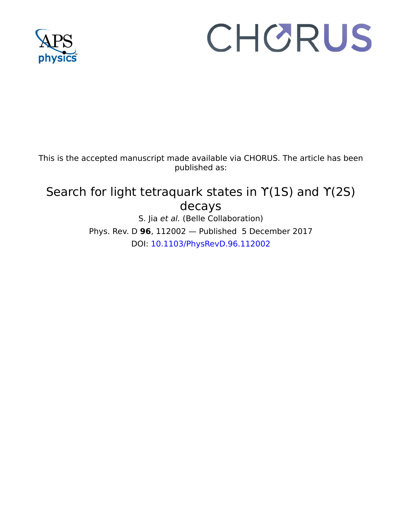

# CHORUS

This is the accepted manuscript made available via CHORUS. The article has been published as:

## Search for light tetraquark states in  $Y(1S)$  and  $Y(2S)$ decays S. Jia et al. (Belle Collaboration)

Phys. Rev. D **96**, 112002 — Published 5 December 2017 DOI: [10.1103/PhysRevD.96.112002](http://dx.doi.org/10.1103/PhysRevD.96.112002)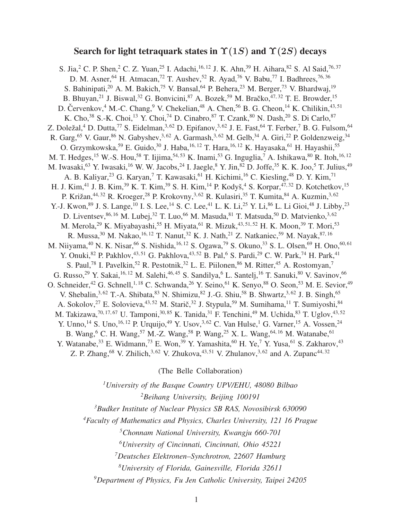### Search for light tetraquark states in  $\Upsilon(1S)$  and  $\Upsilon(2S)$  decays

S. Jia,<sup>2</sup> C. P. Shen,<sup>2</sup> C. Z. Yuan,<sup>25</sup> I. Adachi,<sup>16, 12</sup> J. K. Ahn,<sup>39</sup> H. Aihara,<sup>82</sup> S. Al Said,<sup>76, 37</sup> D. M. Asner, <sup>64</sup> H. Atmacan,<sup>72</sup> T. Aushev, <sup>52</sup> R. Ayad, <sup>76</sup> V. Babu,<sup>77</sup> I. Badhrees, <sup>76, 36</sup> S. Bahinipati,<sup>20</sup> A. M. Bakich,<sup>75</sup> V. Bansal,<sup>64</sup> P. Behera,<sup>23</sup> M. Berger,<sup>73</sup> V. Bhardwaj,<sup>19</sup> B. Bhuyan,<sup>21</sup> J. Biswal,<sup>32</sup> G. Bonvicini,<sup>87</sup> A. Bozek,<sup>59</sup> M. Bračko,<sup>47,32</sup> T. E. Browder,<sup>15</sup> D. Červenkov,  $4^4$  M.-C. Chang,  $9^9$  V. Chekelian,  $48^8$  A. Chen,  $56^6$  B. G. Cheon,  $14^8$  K. Chilikin,  $43,51^6$ K. Cho,<sup>38</sup> S.-K. Choi,<sup>13</sup> Y. Choi,<sup>74</sup> D. Cinabro,<sup>87</sup> T. Czank,<sup>80</sup> N. Dash,<sup>20</sup> S. Di Carlo,<sup>87</sup> Z. Doležal,<sup>4</sup> D. Dutta,<sup>77</sup> S. Eidelman,<sup>3,62</sup> D. Epifanov,<sup>3,62</sup> J. E. Fast,<sup>64</sup> T. Ferber,<sup>7</sup> B. G. Fulsom,<sup>64</sup> R. Garg,<sup>65</sup> V. Gaur,<sup>86</sup> N. Gabyshev,<sup>3,62</sup> A. Garmash,<sup>3,62</sup> M. Gelb,<sup>34</sup> A. Giri,<sup>22</sup> P. Goldenzweig,<sup>34</sup> O. Grzymkowska,<sup>59</sup> E. Guido,<sup>30</sup> J. Haba,<sup>16, 12</sup> T. Hara,<sup>16, 12</sup> K. Hayasaka,<sup>61</sup> H. Hayashii,<sup>55</sup> M. T. Hedges,<sup>15</sup> W.-S. Hou,<sup>58</sup> T. Iijima,<sup>54, 53</sup> K. Inami,<sup>53</sup> G. Inguglia,<sup>7</sup> A. Ishikawa, <sup>80</sup> R. Itoh, <sup>16, 12</sup> M. Iwasaki, <sup>63</sup> Y. Iwasaki, <sup>16</sup> W. W. Jacobs, <sup>24</sup> I. Jaegle, <sup>8</sup> Y. Jin, <sup>82</sup> D. Joffe, <sup>35</sup> K. K. Joo, <sup>5</sup> T. Julius, <sup>49</sup> A. B. Kaliyar,<sup>23</sup> G. Karyan,<sup>7</sup> T. Kawasaki,<sup>61</sup> H. Kichimi,<sup>16</sup> C. Kiesling,<sup>48</sup> D. Y. Kim,<sup>71</sup> H. J. Kim,<sup>41</sup> J. B. Kim,<sup>39</sup> K. T. Kim,<sup>39</sup> S. H. Kim,<sup>14</sup> P. Kodyš,<sup>4</sup> S. Korpar,<sup>47,32</sup> D. Kotchetkov,<sup>15</sup> P. Križan,<sup>44, 32</sup> R. Kroeger,<sup>28</sup> P. Krokovny,<sup>3, 62</sup> R. Kulasiri,<sup>35</sup> T. Kumita, <sup>84</sup> A. Kuzmin,<sup>3, 62</sup> Y.-J. Kwon, <sup>89</sup> J. S. Lange, <sup>10</sup> I. S. Lee, <sup>14</sup> S. C. Lee, <sup>41</sup> L. K. Li, <sup>25</sup> Y. Li, <sup>86</sup> L. Li Gioi, <sup>48</sup> J. Libby, <sup>23</sup> D. Liventsev,  $86, 16$  M. Lubej,  $32$  T. Luo,  $66$  M. Masuda,  $81$  T. Matsuda,  $50$  D. Matvienko.  $3, 62$ M. Merola,<sup>29</sup> K. Miyabayashi,<sup>55</sup> H. Miyata,<sup>61</sup> R. Mizuk,<sup>43,51,52</sup> H. K. Moon,<sup>39</sup> T. Mori,<sup>53</sup> R. Mussa,  $30$  M. Nakao,  $16, 12$  T. Nanut,  $32$  K. J. Nath,  $21$  Z. Natkaniec,  $59$  M. Nayak,  $87, 16$ M. Niiyama, <sup>40</sup> N. K. Nisar, <sup>66</sup> S. Nishida, <sup>16, 12</sup> S. Ogawa, <sup>79</sup> S. Okuno, <sup>33</sup> S. L. Olsen, <sup>69</sup> H. Ono, <sup>60, 61</sup> Y. Onuki, <sup>82</sup> P. Pakhlov, <sup>43, 51</sup> G. Pakhlova, <sup>43, 52</sup> B. Pal, <sup>6</sup> S. Pardi, <sup>29</sup> C. W. Park, <sup>74</sup> H. Park, <sup>41</sup> S. Paul,<sup>78</sup> I. Pavelkin,<sup>52</sup> R. Pestotnik,<sup>32</sup> L. E. Piilonen,<sup>86</sup> M. Ritter,<sup>45</sup> A. Rostomyan,<sup>7</sup> G. Russo, <sup>29</sup> Y. Sakai, <sup>16, 12</sup> M. Salehi, <sup>46, 45</sup> S. Sandilya, <sup>6</sup> L. Santelj, <sup>16</sup> T. Sanuki, <sup>80</sup> V. Savinov, <sup>66</sup> O. Schneider,<sup>42</sup> G. Schnell,<sup>1, 18</sup> C. Schwanda,<sup>26</sup> Y. Seino,<sup>61</sup> K. Senyo,<sup>88</sup> O. Seon,<sup>53</sup> M. E. Sevior,<sup>49</sup> V. Shebalin,<sup>3,62</sup> T.-A. Shibata,<sup>83</sup> N. Shimizu,<sup>82</sup> J.-G. Shiu,<sup>58</sup> B. Shwartz,<sup>3,62</sup> J. B. Singh,<sup>65</sup> A. Sokolov,<sup>27</sup> E. Solovieva,<sup>43,52</sup> M. Starič,<sup>32</sup> J. Stypula,<sup>59</sup> M. Sumihama,<sup>11</sup> T. Sumiyoshi,<sup>84</sup> M. Takizawa,<sup>70, 17, 67</sup> U. Tamponi,<sup>30, 85</sup> K. Tanida,<sup>31</sup> F. Tenchini,<sup>49</sup> M. Uchida,<sup>83</sup> T. Uglov,<sup>43,52</sup> Y. Unno,<sup>14</sup> S. Uno,<sup>16, 12</sup> P. Urquijo,<sup>49</sup> Y. Usov,<sup>3,62</sup> C. Van Hulse,<sup>1</sup> G. Varner,<sup>15</sup> A. Vossen,<sup>24</sup> B. Wang,<sup>6</sup> C. H. Wang,<sup>57</sup> M.-Z. Wang,<sup>58</sup> P. Wang,<sup>25</sup> X. L. Wang,<sup>64, 16</sup> M. Watanabe,<sup>61</sup> Y. Watanabe,  $33$  E. Widmann,  $73$  E. Won,  $39$  Y. Yamashita,  $60$  H. Ye,  $7$  Y. Yusa,  $61$  S. Zakharov,  $43$ Z. P. Zhang, <sup>68</sup> V. Zhilich, <sup>3, 62</sup> V. Zhukova, <sup>43, 51</sup> V. Zhulanov, <sup>3, 62</sup> and A. Zupanc<sup>44, 32</sup>

(The Belle Collaboration)

*<sup>1</sup>University of the Basque Country UPV/EHU, 48080 Bilbao <sup>2</sup>Beihang University, Beijing 100191*

*<sup>3</sup>Budker Institute of Nuclear Physics SB RAS, Novosibirsk 630090*

*<sup>4</sup>Faculty of Mathematics and Physics, Charles University, 121 16 Prague*

*<sup>5</sup>Chonnam National University, Kwangju 660-701*

*<sup>6</sup>University of Cincinnati, Cincinnati, Ohio 45221*

*<sup>7</sup>Deutsches Elektronen–Synchrotron, 22607 Hamburg*

*<sup>8</sup>University of Florida, Gainesville, Florida 32611*

*<sup>9</sup>Department of Physics, Fu Jen Catholic University, Taipei 24205*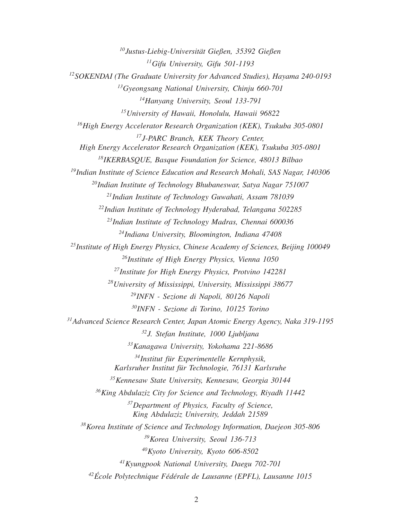*Justus-Liebig-Universitat Gießen, 35392 Gießen ¨ Gifu University, Gifu 501-1193 SOKENDAI (The Graduate University for Advanced Studies), Hayama 240-0193 Gyeongsang National University, Chinju 660-701 Hanyang University, Seoul 133-791 University of Hawaii, Honolulu, Hawaii 96822 High Energy Accelerator Research Organization (KEK), Tsukuba 305-0801 J-PARC Branch, KEK Theory Center, High Energy Accelerator Research Organization (KEK), Tsukuba 305-0801 IKERBASQUE, Basque Foundation for Science, 48013 Bilbao Indian Institute of Science Education and Research Mohali, SAS Nagar, 140306 Indian Institute of Technology Bhubaneswar, Satya Nagar 751007 Indian Institute of Technology Guwahati, Assam 781039 Indian Institute of Technology Hyderabad, Telangana 502285 Indian Institute of Technology Madras, Chennai 600036 Indiana University, Bloomington, Indiana 47408 Institute of High Energy Physics, Chinese Academy of Sciences, Beijing 100049 Institute of High Energy Physics, Vienna 1050 Institute for High Energy Physics, Protvino 142281 University of Mississippi, University, Mississippi 38677 INFN - Sezione di Napoli, 80126 Napoli INFN - Sezione di Torino, 10125 Torino Advanced Science Research Center, Japan Atomic Energy Agency, Naka 319-1195 J. Stefan Institute, 1000 Ljubljana Kanagawa University, Yokohama 221-8686 Institut fur Experimentelle Kernphysik, ¨ Karlsruher Institut fur Technologie, 76131 Karlsruhe ¨ Kennesaw State University, Kennesaw, Georgia 30144 King Abdulaziz City for Science and Technology, Riyadh 11442 Department of Physics, Faculty of Science, King Abdulaziz University, Jeddah 21589 Korea Institute of Science and Technology Information, Daejeon 305-806 Korea University, Seoul 136-713 Kyoto University, Kyoto 606-8502 Kyungpook National University, Daegu 702-701 Ecole Polytechnique F ´ ed´ erale de Lausanne (EPFL), Lausanne 1015 ´*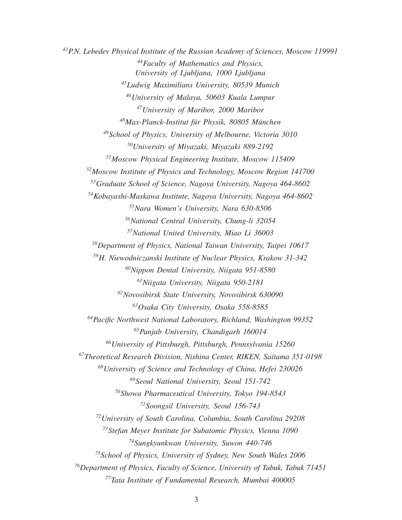*P.N. Lebedev Physical Institute of the Russian Academy of Sciences, Moscow 119991 Faculty of Mathematics and Physics, University of Ljubljana, 1000 Ljubljana Ludwig Maximilians University, 80539 Munich University of Malaya, 50603 Kuala Lumpur University of Maribor, 2000 Maribor Max-Planck-Institut fur Physik, 80805 M ¨ unchen ¨ School of Physics, University of Melbourne, Victoria 3010 University of Miyazaki, Miyazaki 889-2192 Moscow Physical Engineering Institute, Moscow 115409 Moscow Institute of Physics and Technology, Moscow Region 141700 Graduate School of Science, Nagoya University, Nagoya 464-8602 Kobayashi-Maskawa Institute, Nagoya University, Nagoya 464-8602 Nara Women's University, Nara 630-8506 National Central University, Chung-li 32054 National United University, Miao Li 36003 Department of Physics, National Taiwan University, Taipei 10617 H. Niewodniczanski Institute of Nuclear Physics, Krakow 31-342 Nippon Dental University, Niigata 951-8580 Niigata University, Niigata 950-2181 Novosibirsk State University, Novosibirsk 630090 Osaka City University, Osaka 558-8585 Pacific Northwest National Laboratory, Richland, Washington 99352 Panjab University, Chandigarh 160014 University of Pittsburgh, Pittsburgh, Pennsylvania 15260 Theoretical Research Division, Nishina Center, RIKEN, Saitama 351-0198 University of Science and Technology of China, Hefei 230026 Seoul National University, Seoul 151-742 Showa Pharmaceutical University, Tokyo 194-8543 Soongsil University, Seoul 156-743 University of South Carolina, Columbia, South Carolina 29208 Stefan Meyer Institute for Subatomic Physics, Vienna 1090 Sungkyunkwan University, Suwon 440-746 School of Physics, University of Sydney, New South Wales 2006 Department of Physics, Faculty of Science, University of Tabuk, Tabuk 71451 Tata Institute of Fundamental Research, Mumbai 400005*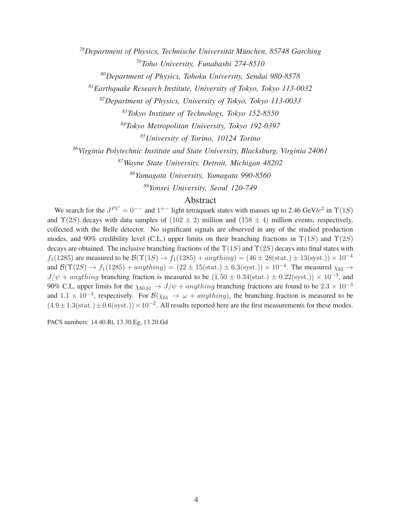*<sup>78</sup>Department of Physics, Technische Universitat M ¨ unchen, 85748 Garching ¨ <sup>79</sup>Toho University, Funabashi 274-8510*

*<sup>80</sup>Department of Physics, Tohoku University, Sendai 980-8578*

*<sup>81</sup>Earthquake Research Institute, University of Tokyo, Tokyo 113-0032*

*<sup>82</sup>Department of Physics, University of Tokyo, Tokyo 113-0033*

*<sup>83</sup>Tokyo Institute of Technology, Tokyo 152-8550*

*<sup>84</sup>Tokyo Metropolitan University, Tokyo 192-0397*

*<sup>85</sup>University of Torino, 10124 Torino*

*<sup>86</sup>Virginia Polytechnic Institute and State University, Blacksburg, Virginia 24061*

*<sup>87</sup>Wayne State University, Detroit, Michigan 48202*

*<sup>88</sup>Yamagata University, Yamagata 990-8560*

*<sup>89</sup>Yonsei University, Seoul 120-749*

#### Abstract

We search for the  $J^{PC} = 0^{--}$  and  $1^{+-}$  light tetraquark states with masses up to 2.46 GeV/ $c^2$  in  $\Upsilon(1S)$ and  $\Upsilon(2S)$  decays with data samples of  $(102 \pm 2)$  million and  $(158 \pm 4)$  million events, respectively, collected with the Belle detector. No significant signals are observed in any of the studied production modes, and 90% credibility level (C.L.) upper limits on their branching fractions in  $\Upsilon(1S)$  and  $\Upsilon(2S)$ decays are obtained. The inclusive branching fractions of the  $\Upsilon(1S)$  and  $\Upsilon(2S)$  decays into final states with  $f_1(1285)$  are measured to be  $\mathcal{B}(\Upsilon(1S) \to f_1(1285) + anything) = (46 \pm 28 \text{(stat.)} \pm 13 \text{(syst.)}) \times 10^{-4}$ and  $\mathcal{B}(\Upsilon(2S) \to f_1(1285) + anything) = (22 \pm 15(\text{stat.}) \pm 6.3(\text{syst.})) \times 10^{-4}$ . The measured  $\chi_{b2} \to$  $J/\psi$  + anything branching fraction is measured to be  $(1.50 \pm 0.34 \text{(stat.)} \pm 0.22 \text{(syst.)}) \times 10^{-3}$ , and 90% C.L. upper limits for the  $\chi_{b0,b1} \to J/\psi + anything$  branching fractions are found to be  $2.3 \times 10^{-3}$ and  $1.1 \times 10^{-3}$ , respectively. For  $\mathcal{B}(\chi_{b1} \to \omega + anything)$ , the branching fraction is measured to be  $(4.9 \pm 1.3(stat.) \pm 0.6(syst.)) \times 10^{-2}$ . All results reported here are the first measurements for these modes.

PACS numbers: 14.40.Rt, 13.30.Eg, 13.20.Gd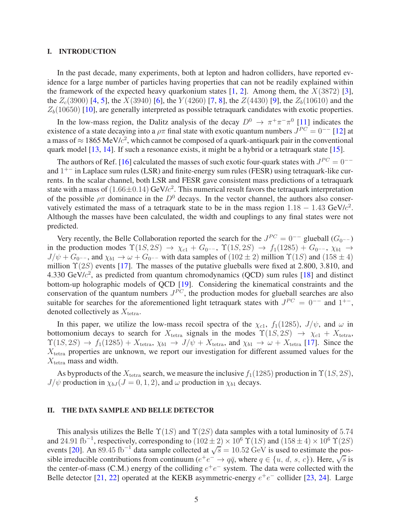#### I. INTRODUCTION

In the past decade, many experiments, both at lepton and hadron colliders, have reported evidence for a large number of particles having properties that can not be readily explained within the framework of the expected heavy quarkonium states  $[1, 2]$  $[1, 2]$  $[1, 2]$ . Among them, the  $X(3872)$  [\[3](#page-19-2)], the  $Z_c(3900)$  [\[4,](#page-19-3) [5\]](#page-19-4), the  $X(3940)$  [\[6\]](#page-19-5), the  $Y(4260)$  [\[7](#page-19-6), [8](#page-19-7)], the  $Z(4430)$  [\[9\]](#page-19-8), the  $Z_b(10610)$  and the  $Z_b(10650)$  [\[10](#page-19-9)], are generally interpreted as possible tetraquark candidates with exotic properties.

In the low-mass region, the Dalitz analysis of the decay  $D^0 \to \pi^+\pi^-\pi^0$  [\[11](#page-19-10)] indicates the existence of a state decaying into a  $\rho \pi$  final state with exotic quantum numbers  $J^{PC} = 0^{-1}$  [\[12\]](#page-19-11) at a mass of  $\approx 1865$  MeV/ $c^2$ , which cannot be composed of a quark-antiquark pair in the conventional quark model [\[13](#page-19-12), [14\]](#page-19-13). If such a resonance exists, it might be a hybrid or a tetraquark state [\[15](#page-19-14)].

The authors of Ref. [\[16\]](#page-19-15) calculated the masses of such exotic four-quark states with  $J^{PC} = 0^{-+}$ and  $1^{+-}$  in Laplace sum rules (LSR) and finite-energy sum rules (FESR) using tetraquark-like currents. In the scalar channel, both LSR and FESR gave consistent mass predictions of a tetraquark state with a mass of  $(1.66\pm0.14)$  GeV/ $c^2$ . This numerical result favors the tetraquark interpretation of the possible  $\rho\pi$  dominance in the  $D^0$  decays. In the vector channel, the authors also conservatively estimated the mass of a tetraquark state to be in the mass region  $1.18 - 1.43$  GeV/ $c^2$ . Although the masses have been calculated, the width and couplings to any final states were not predicted.

Very recently, the Belle Collaboration reported the search for the  $J^{PC} = 0^{-+}$  glueball  $(G_{0^{--}})$ in the production modes  $\Upsilon(1S, 2S) \rightarrow \chi_{c1} + G_{0}$ --,  $\Upsilon(1S, 2S) \rightarrow f_1(1285) + G_{0}$ --,  $\chi_{b1} \rightarrow$  $J/\psi + G_{0}$ ––, and  $\chi_{b1} \to \omega + G_{0}$ –– with data samples of (102 ± 2) million  $\Upsilon(1S)$  and (158 ± 4) million  $\Upsilon(2S)$  events [\[17](#page-19-16)]. The masses of the putative glueballs were fixed at 2.800, 3.810, and 4.330 GeV/ $c^2$ , as predicted from quantum chromodynamics (QCD) sum rules [\[18\]](#page-19-17) and distinct bottom-up holographic models of QCD [\[19\]](#page-19-18). Considering the kinematical constraints and the conservation of the quantum numbers  $J^{PC}$ , the production modes for glueball searches are also suitable for searches for the aforementioned light tetraquark states with  $J^{PC} = 0^{--}$  and  $1^{+-}$ , denoted collectively as  $X_{\text{tetra}}$ .

In this paper, we utilize the low-mass recoil spectra of the  $\chi_{c1}$ ,  $f_1(1285)$ ,  $J/\psi$ , and  $\omega$  in bottomonium decays to search for  $X_{\text{tetra}}$  signals in the modes  $\Upsilon(1S, 2S) \rightarrow \chi_{c1} + X_{\text{tetra}}$ ,  $\Upsilon(1S, 2S) \rightarrow f_1(1285) + X_{\text{tetra}}, \chi_{b1} \rightarrow J/\psi + X_{\text{tetra}}$ , and  $\chi_{b1} \rightarrow \omega + X_{\text{tetra}}$  [\[17\]](#page-19-16). Since the  $X<sub>tetra</sub>$  properties are unknown, we report our investigation for different assumed values for the  $X_{\text{tetra}}$  mass and width.

As byproducts of the  $X_{\text{tetra}}$  search, we measure the inclusive  $f_1(1285)$  production in  $\Upsilon(1S, 2S)$ ,  $J/\psi$  production in  $\chi_{bJ}$  ( $J = 0, 1, 2$ ), and  $\omega$  production in  $\chi_{b1}$  decays.

#### II. THE DATA SAMPLE AND BELLE DETECTOR

This analysis utilizes the Belle  $\Upsilon(1S)$  and  $\Upsilon(2S)$  data samples with a total luminosity of 5.74 and 24.91 fb<sup>-1</sup>, respectively, corresponding to  $(102 \pm 2) \times 10^6$   $\Upsilon(1S)$  and  $(158 \pm 4) \times 10^6$   $\Upsilon(2S)$ events [\[20](#page-19-19)]. An 89.45 fb<sup>-1</sup> data sample collected at  $\sqrt{s} = 10.52$  GeV is used to estimate the possible irreducible contributions from continuum ( $e^+e^- \rightarrow q\bar{q}$ , where  $q \in \{u, d, s, c\}$ ). Here,  $\sqrt{s}$  is the center-of-mass (C.M.) energy of the colliding  $e^+e^-$  system. The data were collected with the Belle detector [\[21](#page-19-20), [22\]](#page-19-21) operated at the KEKB asymmetric-energy  $e^+e^-$  collider [\[23,](#page-19-22) [24\]](#page-19-23). Large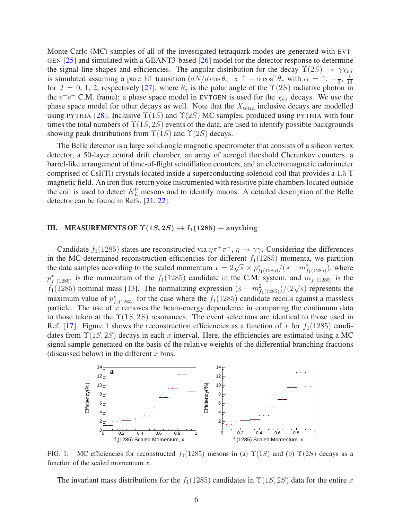Monte Carlo (MC) samples of all of the investigated tetraquark modes are generated with EVT-GEN [\[25](#page-19-24)] and simulated with a GEANT3-based [\[26\]](#page-19-25) model for the detector response to determine the signal line-shapes and efficiencies. The angular distribution for the decay  $\Upsilon(2S) \rightarrow \gamma \chi_{bJ}$ is simulated assuming a pure E1 transition  $\left(\frac{dN}{d\cos\theta_{\gamma}} \propto 1 + \alpha \cos^2\theta_{\gamma} \right)$  with  $\alpha = 1, -\frac{1}{3}$  $\frac{1}{3}, \frac{1}{15}$ 13 for  $J = 0, 1, 2$ , respectively [\[27\]](#page-19-26), where  $\theta_{\gamma}$  is the polar angle of the  $\Upsilon(2S)$  radiative photon in the  $e^+e^-$  C.M. frame); a phase space model in EVTGEN is used for the  $\chi_{bJ}$  decays. We use the phase space model for other decays as well. Note that the  $X_{\text{tetra}}$  inclusive decays are modelled using PYTHIA [\[28](#page-19-27)]. Inclusive  $\Upsilon(1S)$  and  $\Upsilon(2S)$  MC samples, produced using PYTHIA with four times the total numbers of  $\Upsilon(1S, 2S)$  events of the data, are used to identify possible backgrounds showing peak distributions from  $\Upsilon(1S)$  and  $\Upsilon(2S)$  decays.

The Belle detector is a large solid-angle magnetic spectrometer that consists of a silicon vertex detector, a 50-layer central drift chamber, an array of aerogel threshold Cherenkov counters, a barrel-like arrangement of time-of-flight scintillation counters, and an electromagnetic calorimeter comprised of CsI(Tl) crystals located inside a superconducting solenoid coil that provides a 1.5 T magnetic field. An iron flux-return yoke instrumented with resistive plate chambers located outside the coil is used to detect  $K_L^0$  mesons and to identify muons. A detailed description of the Belle detector can be found in Refs. [\[21](#page-19-20), [22](#page-19-21)].

#### III. MEASUREMENTS OF  $\Upsilon(1S, 2S) \rightarrow f_1(1285) +$  anything

Candidate  $f_1(1285)$  states are reconstructed via  $\eta \pi^+ \pi^-$ ,  $\eta \to \gamma \gamma$ . Considering the differences in the MC-determined reconstruction efficiencies for different  $f_1(1285)$  momenta, we partition the data samples according to the scaled momentum  $x = 2\sqrt{s} \times p_{f_1(1285)}^*/(s - m_{f_1(1285)}^2)$ , where  $p_{f_1(1285)}^*$  is the momentum of the  $f_1(1285)$  candidate in the C.M. system, and  $m_{f_1(1285)}$  is the  $f_1(1285)$  nominal mass [\[13\]](#page-19-12). The normalizing expression  $(s - m_{f_1(1285)}^2)/(2\sqrt{s})$  represents the maximum value of  $p_{f_1(1285)}^*$  for the case where the  $f_1(1285)$  candidate recoils against a massless particle. The use of  $\overline{x}$  removes the beam-energy dependence in comparing the continuum data to those taken at the  $\Upsilon(1S, 2S)$  resonances. The event selections are identical to those used in Ref. [\[17](#page-19-16)]. Figure [1](#page-6-0) shows the reconstruction efficiencies as a function of x for  $f_1(1285)$  candidates from  $\Upsilon(1S, 2S)$  decays in each x interval. Here, the efficiencies are estimated using a MC signal sample generated on the basis of the relative weights of the differential branching fractions (discussed below) in the different  $x$  bins.



FIG. 1: MC efficiencies for reconstructed  $f_1(1285)$  mesons in (a)  $\Upsilon(1S)$  and (b)  $\Upsilon(2S)$  decays as a function of the scaled momentum  $x$ .

<span id="page-6-0"></span>The invariant mass distributions for the  $f_1(1285)$  candidates in  $\Upsilon(1S, 2S)$  data for the entire x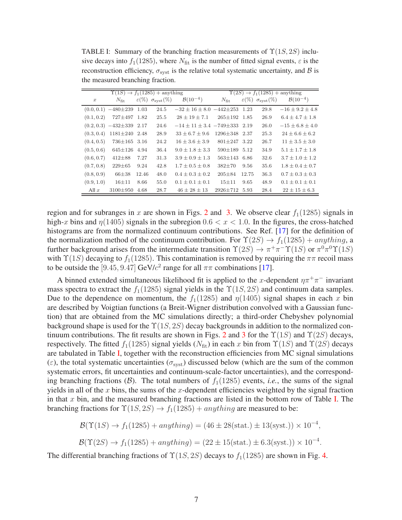<span id="page-7-0"></span>TABLE I: Summary of the branching fraction measurements of  $\Upsilon(1S, 2S)$  inclusive decays into  $f_1(1285)$ , where  $N_{\text{fit}}$  is the number of fitted signal events,  $\varepsilon$  is the reconstruction efficiency,  $\sigma_{syst}$  is the relative total systematic uncertainty, and  $\beta$  is the measured branching fraction.

|                  | $\Upsilon(1S) \rightarrow f_1(1285) +$ anything | $\Upsilon(2S) \rightarrow f_1(1285) +$ anything |                                         |                                     |                     |       |                                            |                        |
|------------------|-------------------------------------------------|-------------------------------------------------|-----------------------------------------|-------------------------------------|---------------------|-------|--------------------------------------------|------------------------|
| $\boldsymbol{x}$ | $N_{\text{fit}}$                                |                                                 | $\varepsilon(\%) \sigma_{\rm syst}(\%)$ | $\mathcal{B}(10^{-4})$              | $N_{\text{fit}}$    |       | $\varepsilon(\%) \sigma_{\text{svst}}(\%)$ | $\mathcal{B}(10^{-4})$ |
|                  | $(0.0, 0.1)$ $-480\pm239$                       | 1.03                                            | 24.5                                    | $-32 \pm 16 \pm 8.0$ $-442 \pm 253$ |                     | 1.23  | 29.8                                       | $-16 + 9.2 + 4.8$      |
| (0.1, 0.2)       | $727 \pm 497$                                   | 1.82                                            | 25.5                                    | $28 \pm 19 \pm 7.1$                 | $265 \pm 192$       | 1.85  | 26.9                                       | $6.4 + 4.7 + 1.8$      |
|                  | $(0.2, 0.3)$ $-432\pm339$ 2.17                  |                                                 | 24.6                                    | $-14 + 11 + 3.4 - 749 + 333$ 2.19   |                     |       | 26.0                                       | $-15 + 6.8 + 4.0$      |
| (0.3, 0.4)       | $1181 \pm 240$ 2.48                             |                                                 | 28.9                                    | $33 \pm 6.7 \pm 9.6$                | $1296 \pm 348$ 2.37 |       | 25.3                                       | $24 + 6.6 + 6.2$       |
| (0.4, 0.5)       | $736 \pm 165$ 3.16                              |                                                 | 24.2                                    | $16 + 3.6 + 3.9$                    | $801 \pm 247$ 3.22  |       | 26.7                                       | $11 + 3.5 + 3.0$       |
| (0.5, 0.6)       | $645 \pm 126$                                   | 4.94                                            | 36.4                                    | $9.0 \pm 1.8 \pm 3.3$               | 590±189             | 5.12  | 34.9                                       | $5.1 \pm 1.7 \pm 1.8$  |
| (0.6, 0.7)       | $412\pm88$                                      | 7.27                                            | 31.3                                    | $3.9 + 0.9 + 1.3$                   | $563 + 143$         | 6.86  | 32.6                                       | $3.7 \pm 1.0 \pm 1.2$  |
| (0.7, 0.8)       | $229 \pm 65$                                    | 9.24                                            | 42.8                                    | $1.7 + 0.5 + 0.8$                   | $382 + 70$          | 9.56  | 35.6                                       | $1.8 + 0.4 + 0.7$      |
| (0.8, 0.9)       | $66{\pm}38$                                     | 12.46                                           | 48.0                                    | $0.4 + 0.3 + 0.2$                   | $205 \pm 84$        | 12.75 | 36.3                                       | $0.7 \pm 0.3 \pm 0.3$  |
| (0.9, 1.0)       | $16 + 11$                                       | 8.66                                            | 55.0                                    | $0.1 \pm 0.1 \pm 0.1$               | $15 + 11$           | 9.65  | 48.9                                       | $0.1 \pm 0.1 \pm 0.1$  |
| All $x$          | $3100 \pm 950$                                  | 4.68                                            | 28.7                                    | $46 \pm 28 \pm 13$                  | $2926 \pm 712$      | 5.93  | 28.4                                       | $22 \pm 15 \pm 6.3$    |

region and for subranges in x are shown in Figs. [2](#page-8-0) and [3.](#page-8-1) We observe clear  $f_1(1285)$  signals in high-x bins and  $\eta$ (1405) signals in the subregion 0.6  $\lt x \lt 1.0$ . In the figures, the cross-hatched histograms are from the normalized continuum contributions. See Ref. [\[17\]](#page-19-16) for the definition of the normalization method of the continuum contribution. For  $\Upsilon(2S) \rightarrow f_1(1285) + anything$ , a further background arises from the intermediate transition  $\Upsilon(2S) \to \pi^+ \pi^- \Upsilon(1S)$  or  $\pi^0 \pi^0 \Upsilon(1S)$ with  $\Upsilon(1S)$  decaying to  $f_1(1285)$ . This contamination is removed by requiring the  $\pi\pi$  recoil mass to be outside the [9.45, 9.47] GeV/ $c^2$  range for all  $\pi\pi$  combinations [\[17\]](#page-19-16).

A binned extended simultaneous likelihood fit is applied to the x-dependent  $\eta \pi^+ \pi^-$  invariant mass spectra to extract the  $f_1(1285)$  signal yields in the  $\Upsilon(1S, 2S)$  and continuum data samples. Due to the dependence on momentum, the  $f_1(1285)$  and  $\eta(1405)$  signal shapes in each x bin are described by Voigtian functions (a Breit-Wigner distribution convolved with a Gaussian function) that are obtained from the MC simulations directly; a third-order Chebyshev polynomial background shape is used for the  $\Upsilon(1S, 2S)$  decay backgrounds in addition to the normalized con-tinuum contributions. The fit results are shown in Figs. [2](#page-8-0) and [3](#page-8-1) for the  $\Upsilon(1S)$  and  $\Upsilon(2S)$  decays, respectively. The fitted  $f_1(1285)$  signal yields  $(N_{\text{fit}})$  in each x bin from  $\Upsilon(1S)$  and  $\Upsilon(2S)$  decays are tabulated in Table [I,](#page-7-0) together with the reconstruction efficiencies from MC signal simulations (ε), the total systematic uncertainties ( $\sigma_{syst}$ ) discussed below (which are the sum of the common systematic errors, fit uncertainties and continuum-scale-factor uncertainties), and the corresponding branching fractions (B). The total numbers of  $f_1(1285)$  events, *i.e.*, the sums of the signal yields in all of the x bins, the sums of the x-dependent efficiencies weighted by the signal fraction in that  $x$  bin, and the measured branching fractions are listed in the bottom row of Table [I.](#page-7-0) The branching fractions for  $\Upsilon(1S, 2S) \rightarrow f_1(1285) + anything$  are measured to be:

$$
\mathcal{B}(\Upsilon(1S) \to f_1(1285) + anything) = (46 \pm 28 \text{(stat.)} \pm 13 \text{(syst.)}) \times 10^{-4},
$$

$$
\mathcal{B}(\Upsilon(2S) \to f_1(1285) + anything) = (22 \pm 15(\text{stat.}) \pm 6.3(\text{syst.})) \times 10^{-4}.
$$

The differential branching fractions of  $\Upsilon(1S, 2S)$  decays to  $f_1(1285)$  are shown in Fig. [4.](#page-9-0)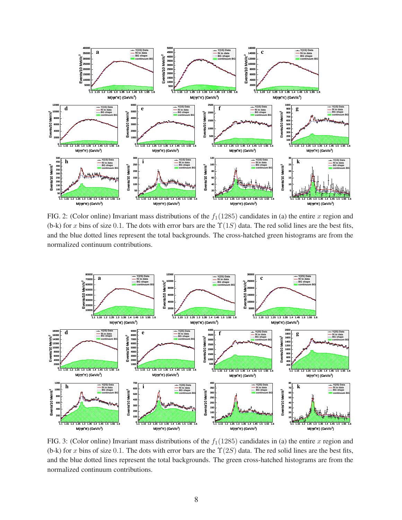

<span id="page-8-0"></span>FIG. 2: (Color online) Invariant mass distributions of the  $f_1(1285)$  candidates in (a) the entire x region and (b-k) for x bins of size 0.1. The dots with error bars are the  $\Upsilon(1S)$  data. The red solid lines are the best fits, and the blue dotted lines represent the total backgrounds. The cross-hatched green histograms are from the normalized continuum contributions.



<span id="page-8-1"></span>FIG. 3: (Color online) Invariant mass distributions of the  $f_1(1285)$  candidates in (a) the entire x region and (b-k) for x bins of size 0.1. The dots with error bars are the  $\Upsilon(2S)$  data. The red solid lines are the best fits, and the blue dotted lines represent the total backgrounds. The green cross-hatched histograms are from the normalized continuum contributions.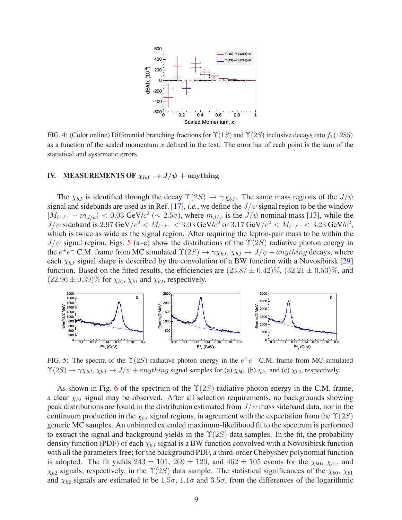

<span id="page-9-0"></span>FIG. 4: (Color online) Differential branching fractions for  $\Upsilon(1S)$  and  $\Upsilon(2S)$  inclusive decays into  $f_1(1285)$ as a function of the scaled momentum x defined in the text. The error bar of each point is the sum of the statistical and systematic errors.

#### IV. MEASUREMENTS OF  $\chi_{bJ} \rightarrow J/\psi + \text{anything}$

The  $\chi_{bJ}$  is identified through the decay  $\Upsilon(2S) \to \gamma \chi_{bJ}$ . The same mass regions of the  $J/\psi$ signal and sidebands are used as in Ref. [\[17](#page-19-16)], *i.e.*, we define the  $J/\psi$  signal region to be the window  $|M_{\ell^+\ell^-} - m_{J/\psi}| < 0.03$  GeV/ $c^2 \sim 2.5\sigma$ ), where  $m_{J/\psi}$  is the  $J/\psi$  nominal mass [\[13](#page-19-12)], while the  $J/\psi$  sideband is 2.97 GeV/ $c^2 < M_{\ell^+\ell^-} < 3.03$  GeV/ $c^2$  or 3.17 GeV/ $c^2 < M_{\ell^+\ell^-} < 3.23$  GeV/ $c^2$ , which is twice as wide as the signal region. After requiring the lepton-pair mass to be within the  $J/\psi$  signal region, Figs. [5](#page-9-1) (a–c) show the distributions of the  $\Upsilon(2S)$  radiative photon energy in the  $e^+e^-$  C.M. frame from MC simulated  $\Upsilon(2S) \to \gamma \chi_{bJ}$ ,  $\chi_{bJ} \to J/\psi + anything$  decays, where each  $\chi_{bJ}$  signal shape is described by the convolution of a BW function with a Novosibirsk [\[29](#page-19-28)] function. Based on the fitted results, the efficiencies are  $(23.87 \pm 0.42)\%$ ,  $(32.21 \pm 0.53)\%$ , and  $(22.96 \pm 0.39)\%$  for  $\chi_{b0}$ ,  $\chi_{b1}$  and  $\chi_{b2}$ , respectively.



<span id="page-9-1"></span>FIG. 5: The spectra of the  $\Upsilon(2S)$  radiative photon energy in the  $e^+e^-$  C.M. frame from MC simulated  $\Upsilon(2S) \rightarrow \gamma \chi_{bJ}, \chi_{bJ} \rightarrow J/\psi + anything$  signal samples for (a)  $\chi_{b0}$ , (b)  $\chi_{b1}$  and (c)  $\chi_{b2}$ , respectively.

As shown in Fig. [6](#page-10-0) of the spectrum of the  $\Upsilon(2S)$  radiative photon energy in the C.M. frame, a clear  $\chi_{b2}$  signal may be observed. After all selection requirements, no backgrounds showing peak distributions are found in the distribution estimated from  $J/\psi$  mass sideband data, nor in the continuum production in the  $\chi_{bJ}$  signal regions, in agreement with the expectation from the  $\Upsilon(2S)$ generic MC samples. An unbinned extended maximum-likelihood fit to the spectrum is performed to extract the signal and background yields in the  $\Upsilon(2S)$  data samples. In the fit, the probability density function (PDF) of each  $\chi_{bJ}$  signal is a BW function convolved with a Novosibirsk function with all the parameters free; for the background PDF, a third-order Chebyshev polynomial function is adopted. The fit yields  $243 \pm 101$ ,  $269 \pm 120$ , and  $462 \pm 105$  events for the  $\chi_{b0}$ ,  $\chi_{b1}$ , and  $\chi_{b2}$  signals, respectively, in the  $\Upsilon(2S)$  data sample. The statistical significances of the  $\chi_{b0}$ ,  $\chi_{b1}$ and  $\chi_{b2}$  signals are estimated to be 1.5 $\sigma$ , 1.1 $\sigma$  and 3.5 $\sigma$ , from the differences of the logarithmic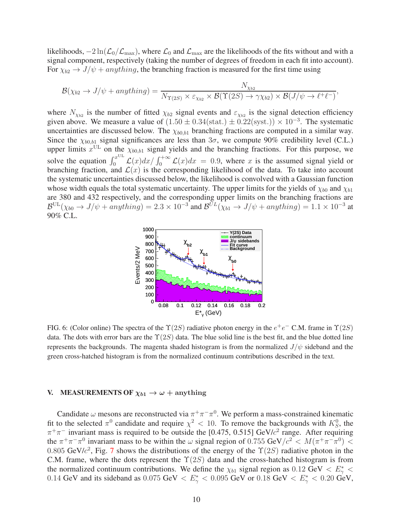likelihoods,  $-2 \ln(\mathcal{L}_0/\mathcal{L}_{\text{max}})$ , where  $\mathcal{L}_0$  and  $\mathcal{L}_{\text{max}}$  are the likelihoods of the fits without and with a signal component, respectively (taking the number of degrees of freedom in each fit into account). For  $\chi_{b2} \rightarrow J/\psi + anything$ , the branching fraction is measured for the first time using

$$
\mathcal{B}(\chi_{b2} \to J/\psi + anything) = \frac{N_{\chi_{b2}}}{N_{\Upsilon(2S)} \times \varepsilon_{\chi_{b2}} \times \mathcal{B}(\Upsilon(2S) \to \gamma \chi_{b2}) \times \mathcal{B}(J/\psi \to \ell^+ \ell^-)},
$$

where  $N_{\chi_{b2}}$  is the number of fitted  $\chi_{b2}$  signal events and  $\varepsilon_{\chi_{b2}}$  is the signal detection efficiency given above. We measure a value of  $(1.50 \pm 0.34 \text{(stat.)} \pm 0.22 \text{(syst.)}) \times 10^{-3}$ . The systematic uncertainties are discussed below. The  $\chi_{b0,b1}$  branching fractions are computed in a similar way. Since the  $\chi_{b0,b1}$  signal significances are less than  $3\sigma$ , we compute 90% credibility level (C.L.) upper limits  $x^{\text{UL}}$  on the  $\chi_{b0,b1}$  signal yields and the branching fractions. For this purpose, we solve the equation  $\int_0^{x^{UL}} \mathcal{L}(x) dx / \int_0^{+\infty} \mathcal{L}(x) dx = 0.9$ , where x is the assumed signal yield or branching fraction, and  $\mathcal{L}(x)$  is the corresponding likelihood of the data. To take into account the systematic uncertainties discussed below, the likelihood is convolved with a Gaussian function whose width equals the total systematic uncertainty. The upper limits for the yields of  $\chi_{b0}$  and  $\chi_{b1}$ are 380 and 432 respectively, and the corresponding upper limits on the branching fractions are  $\mathcal{B}^{\text{UL}}(\chi_{b0} \to J/\psi + \hat{anything}) = 2.3 \times 10^{-3}$  and  $\mathcal{B}^{\tilde{U}L}(\chi_{b1} \to J/\psi + \hat{anything}) = 1.1 \times 10^{-3}$  at 90% C.L.



<span id="page-10-0"></span>FIG. 6: (Color online) The spectra of the  $\Upsilon(2S)$  radiative photon energy in the  $e^+e^-$  C.M. frame in  $\Upsilon(2S)$ data. The dots with error bars are the  $\Upsilon(2S)$  data. The blue solid line is the best fit, and the blue dotted line represents the backgrounds. The magenta shaded histogram is from the normalized  $J/\psi$  sideband and the green cross-hatched histogram is from the normalized continuum contributions described in the text.

#### V. MEASUREMENTS OF  $\chi_{b1} \rightarrow \omega +$  anything

Candidate  $\omega$  mesons are reconstructed via  $\pi^+\pi^-\pi^0$ . We perform a mass-constrained kinematic fit to the selected  $\pi^0$  candidate and require  $\chi^2$  < 10. To remove the backgrounds with  $K^0_S$ , the  $\pi^+\pi^-$  invariant mass is required to be outside the [0.475, 0.515] GeV/ $c^2$  range. After requiring the  $\pi^+\pi^-\pi^0$  invariant mass to be within the  $\omega$  signal region of 0.755 GeV/ $c^2 < M(\pi^+\pi^-\pi^0)$  < 0.805 GeV/ $c^2$ , Fig. [7](#page-11-0) shows the distributions of the energy of the  $\Upsilon(2S)$  radiative photon in the C.M. frame, where the dots represent the  $\Upsilon(2S)$  data and the cross-hatched histogram is from the normalized continuum contributions. We define the  $\chi_{b1}$  signal region as 0.12 GeV  $\langle E_\gamma^* \rangle$ 0.14 GeV and its sideband as 0.075 GeV  $\langle E_{\gamma}^* \rangle$  = 0.095 GeV or 0.18 GeV  $\langle E_{\gamma}^* \rangle$  = 0.20 GeV,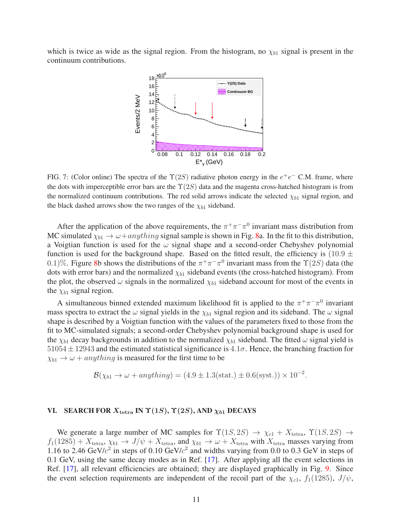which is twice as wide as the signal region. From the histogram, no  $\chi_{b1}$  signal is present in the continuum contributions.



<span id="page-11-0"></span>FIG. 7: (Color online) The spectra of the  $\Upsilon(2S)$  radiative photon energy in the  $e^+e^-$  C.M. frame, where the dots with imperceptible error bars are the  $\Upsilon(2S)$  data and the magenta cross-hatched histogram is from the normalized continuum contributions. The red solid arrows indicate the selected  $\chi_{b1}$  signal region, and the black dashed arrows show the two ranges of the  $\chi_{b1}$  sideband.

After the application of the above requirements, the  $\pi^+\pi^-\pi^0$  invariant mass distribution from MC simulated  $\chi_{b1} \to \omega + anything$  signal sample is shown in Fig. [8a](#page-12-0). In the fit to this distribution, a Voigtian function is used for the  $\omega$  signal shape and a second-order Chebyshev polynomial function is used for the background shape. Based on the fitted result, the efficiency is  $(10.9 \pm 1.000)$ 0.1)%. Figure [8b](#page-12-0) shows the distributions of the  $\pi^+\pi^-\pi^0$  invariant mass from the  $\Upsilon(2S)$  data (the dots with error bars) and the normalized  $\chi_{b1}$  sideband events (the cross-hatched histogram). From the plot, the observed  $\omega$  signals in the normalized  $\chi_{b1}$  sideband account for most of the events in the  $\chi_{b1}$  signal region.

A simultaneous binned extended maximum likelihood fit is applied to the  $\pi^+\pi^-\pi^0$  invariant mass spectra to extract the  $\omega$  signal yields in the  $\chi_{b1}$  signal region and its sideband. The  $\omega$  signal shape is described by a Voigtian function with the values of the parameters fixed to those from the fit to MC-simulated signals; a second-order Chebyshev polynomial background shape is used for the  $\chi_{b1}$  decay backgrounds in addition to the normalized  $\chi_{b1}$  sideband. The fitted  $\omega$  signal yield is  $51054 \pm 12943$  and the estimated statistical significance is  $4.1\sigma$ . Hence, the branching fraction for  $\chi_{b1} \rightarrow \omega + anything$  is measured for the first time to be

$$
\mathcal{B}(\chi_{b1} \to \omega + anything) = (4.9 \pm 1.3(\text{stat.}) \pm 0.6(\text{syst.})) \times 10^{-2}.
$$

#### VI. SEARCH FOR  $X_{\text{tetra}}$  IN  $\Upsilon(1S)$ ,  $\Upsilon(2S)$ , AND  $\chi_{b1}$  DECAYS

We generate a large number of MC samples for  $\Upsilon(1S, 2S) \rightarrow \chi_{c1} + X_{\text{tetra}}$ ,  $\Upsilon(1S, 2S) \rightarrow$  $f_1(1285) + X_{\text{tetra}}, \chi_{b1} \to J/\psi + X_{\text{tetra}}$ , and  $\chi_{b1} \to \omega + X_{\text{tetra}}$  with  $X_{\text{tetra}}$  masses varying from 1.16 to 2.46 GeV/ $c^2$  in steps of 0.10 GeV/ $c^2$  and widths varying from 0.0 to 0.3 GeV in steps of 0.1 GeV, using the same decay modes as in Ref. [\[17\]](#page-19-16). After applying all the event selections in Ref. [\[17](#page-19-16)], all relevant efficiencies are obtained; they are displayed graphically in Fig. [9.](#page-12-1) Since the event selection requirements are independent of the recoil part of the  $\chi_{c1}$ ,  $f_1(1285)$ ,  $J/\psi$ ,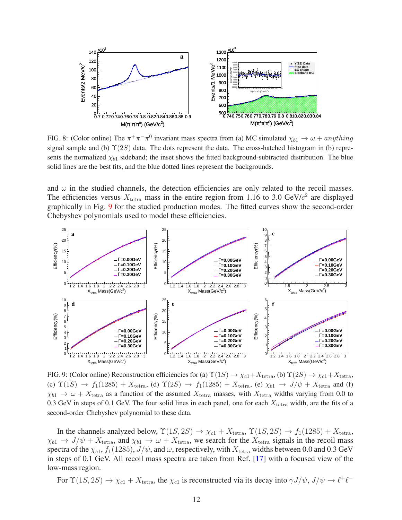

<span id="page-12-0"></span>FIG. 8: (Color online) The  $\pi^+\pi^-\pi^0$  invariant mass spectra from (a) MC simulated  $\chi_{b1} \to \omega + anything$ signal sample and (b)  $\Upsilon(2S)$  data. The dots represent the data. The cross-hatched histogram in (b) represents the normalized  $\chi_{b1}$  sideband; the inset shows the fitted background-subtracted distribution. The blue solid lines are the best fits, and the blue dotted lines represent the backgrounds.

and  $\omega$  in the studied channels, the detection efficiencies are only related to the recoil masses. The efficiencies versus  $X_{\text{tetra}}$  mass in the entire region from 1.16 to 3.0 GeV/ $c^2$  are displayed graphically in Fig. [9](#page-12-1) for the studied production modes. The fitted curves show the second-order Chebyshev polynomials used to model these efficiencies.



<span id="page-12-1"></span>FIG. 9: (Color online) Reconstruction efficiencies for (a)  $\Upsilon(1S) \to \chi_{c1} + X_{\text{tetra}}$ , (b)  $\Upsilon(2S) \to \chi_{c1} + X_{\text{tetra}}$ , (c)  $\Upsilon(1S) \rightarrow f_1(1285) + X_{\text{tetra}}$ , (d)  $\Upsilon(2S) \rightarrow f_1(1285) + X_{\text{tetra}}$ , (e)  $\chi_{b1} \rightarrow J/\psi + X_{\text{tetra}}$  and (f)  $\chi_{b1} \to \omega + X_{\text{tetra}}$  as a function of the assumed  $X_{\text{tetra}}$  masses, with  $X_{\text{tetra}}$  widths varying from 0.0 to 0.3 GeV in steps of 0.1 GeV. The four solid lines in each panel, one for each  $X_{\text{tetra}}$  width, are the fits of a second-order Chebyshev polynomial to these data.

In the channels analyzed below,  $\Upsilon(1S, 2S) \rightarrow \chi_{c1} + X_{\text{tetra}}, \Upsilon(1S, 2S) \rightarrow f_1(1285) + X_{\text{tetra}}$ ,  $\chi_{b1} \to J/\psi + X_{\text{tetra}}$ , and  $\chi_{b1} \to \omega + X_{\text{tetra}}$ , we search for the  $X_{\text{tetra}}$  signals in the recoil mass spectra of the  $\chi_{c1}$ ,  $f_1(1285)$ ,  $J/\psi$ , and  $\omega$ , respectively, with  $X_{\text{tetra}}$  widths between 0.0 and 0.3 GeV in steps of 0.1 GeV. All recoil mass spectra are taken from Ref. [\[17](#page-19-16)] with a focused view of the low-mass region.

For  $\Upsilon(1S, 2S) \to \chi_{c1} + X_{\text{tetra}}$ , the  $\chi_{c1}$  is reconstructed via its decay into  $\gamma J/\psi$ ,  $J/\psi \to \ell^+ \ell^-$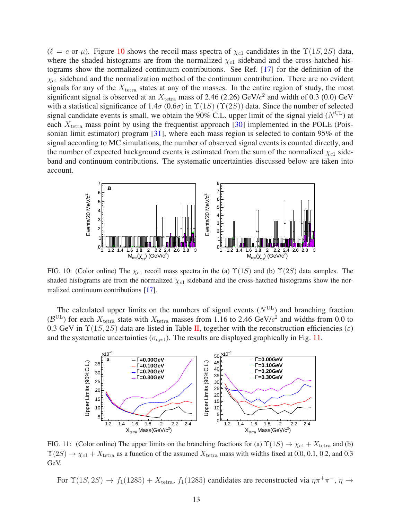$(\ell = e \text{ or } \mu)$ . Figure [10](#page-13-0) shows the recoil mass spectra of  $\chi_{c1}$  candidates in the  $\Upsilon(1S, 2S)$  data, where the shaded histograms are from the normalized  $\chi_{c1}$  sideband and the cross-hatched histograms show the normalized continuum contributions. See Ref. [\[17](#page-19-16)] for the definition of the  $\chi_{c1}$  sideband and the normalization method of the continuum contribution. There are no evident signals for any of the  $X_{\text{tetra}}$  states at any of the masses. In the entire region of study, the most significant signal is observed at an  $X_{\text{tetra}}$  mass of 2.46 (2.26) GeV/ $c^2$  and width of 0.3 (0.0) GeV with a statistical significance of  $1.4\sigma (0.6\sigma)$  in  $\Upsilon(1S) (\Upsilon(2S))$  data. Since the number of selected signal candidate events is small, we obtain the 90% C.L. upper limit of the signal yield  $(N^{UL})$  at each  $X_{\text{tetra}}$  mass point by using the frequentist approach [\[30\]](#page-19-29) implemented in the POLE (Poissonian limit estimator) program [\[31](#page-19-30)], where each mass region is selected to contain 95% of the signal according to MC simulations, the number of observed signal events is counted directly, and the number of expected background events is estimated from the sum of the normalized  $\chi_{c1}$  sideband and continuum contributions. The systematic uncertainties discussed below are taken into account.



<span id="page-13-0"></span>FIG. 10: (Color online) The  $\chi_{c1}$  recoil mass spectra in the (a)  $\Upsilon(1S)$  and (b)  $\Upsilon(2S)$  data samples. The shaded histograms are from the normalized  $\chi_{c1}$  sideband and the cross-hatched histograms show the normalized continuum contributions [\[17](#page-19-16)].

The calculated upper limits on the numbers of signal events  $(N<sup>UL</sup>)$  and branching fraction  $(\mathcal{B}^{UL})$  for each  $X_{\text{tetra}}$  state with  $X_{\text{tetra}}$  masses from 1.16 to 2.46 GeV/ $c^2$  and widths from 0.0 to 0.3 GeV in  $\Upsilon(1S, 2S)$  data are listed in Table [II,](#page-18-0) together with the reconstruction efficiencies ( $\varepsilon$ ) and the systematic uncertainties ( $\sigma_{\text{syst}}$ ). The results are displayed graphically in Fig. [11.](#page-13-1)



<span id="page-13-1"></span>FIG. 11: (Color online) The upper limits on the branching fractions for (a)  $\Upsilon(1S) \to \chi_{c1} + X_{\text{tetra}}$  and (b)  $\Upsilon(2S) \to \chi_{c1} + X_{\text{tetra}}$  as a function of the assumed  $X_{\text{tetra}}$  mass with widths fixed at 0.0, 0.1, 0.2, and 0.3 GeV.

For  $\Upsilon(1S, 2S) \to f_1(1285) + X_{\text{tetra}}, f_1(1285)$  candidates are reconstructed via  $\eta \pi^+ \pi^-$ ,  $\eta \to$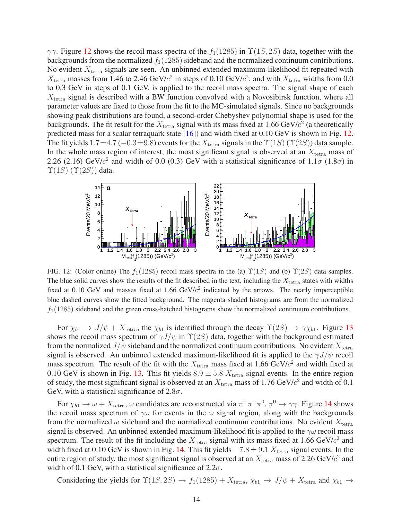$γγ$ . Figure [12](#page-14-0) shows the recoil mass spectra of the  $f_1(1285)$  in  $Y(1S, 2S)$  data, together with the backgrounds from the normalized  $f_1(1285)$  sideband and the normalized continuum contributions. No evident  $X_{\text{tetra}}$  signals are seen. An unbinned extended maximum-likelihood fit repeated with  $X_{\text{tetra}}$  masses from 1.46 to 2.46 GeV/ $c^2$  in steps of 0.10 GeV/ $c^2$ , and with  $X_{\text{tetra}}$  widths from 0.0 to 0.3 GeV in steps of 0.1 GeV, is applied to the recoil mass spectra. The signal shape of each  $X<sub>tetra</sub>$  signal is described with a BW function convolved with a Novosibirsk function, where all parameter values are fixed to those from the fit to the MC-simulated signals. Since no backgrounds showing peak distributions are found, a second-order Chebyshev polynomial shape is used for the backgrounds. The fit result for the  $X_{\text{tetra}}$  signal with its mass fixed at 1.66 GeV/ $c^2$  (a theoretically predicted mass for a scalar tetraquark state [\[16\]](#page-19-15)) and width fixed at 0.10 GeV is shown in Fig. [12.](#page-14-0) The fit yields 1.7±4.7 (-0.3±9.8) events for the  $X_{\text{tetra}}$  signals in the  $\Upsilon(1S)$  ( $\Upsilon(2S)$ ) data sample. In the whole mass region of interest, the most significant signal is observed at an  $X_{\text{tetra}}$  mass of 2.26 (2.16) GeV/ $c^2$  and width of 0.0 (0.3) GeV with a statistical significance of 1.1 $\sigma$  (1.8 $\sigma$ ) in  $\Upsilon(1S)$   $(\Upsilon(2S))$  data.



<span id="page-14-0"></span>FIG. 12: (Color online) The  $f_1(1285)$  recoil mass spectra in the (a)  $\Upsilon(1S)$  and (b)  $\Upsilon(2S)$  data samples. The blue solid curves show the results of the fit described in the text, including the  $X_{\text{tetra}}$  states with widths fixed at 0.10 GeV and masses fixed at 1.66 GeV/ $c<sup>2</sup>$  indicated by the arrows. The nearly imperceptible blue dashed curves show the fitted background. The magenta shaded histograms are from the normalized  $f_1(1285)$  sideband and the green cross-hatched histograms show the normalized continuum contributions.

For  $\chi_{b1} \to J/\psi + X_{\text{tetra}}$ , the  $\chi_{b1}$  is identified through the decay  $\Upsilon(2S) \to \gamma \chi_{b1}$ . Figure [13](#page-15-0) shows the recoil mass spectrum of  $\gamma J/\psi$  in  $\Upsilon(2S)$  data, together with the background estimated from the normalized  $J/\psi$  sideband and the normalized continuum contributions. No evident  $X_{\text{tetra}}$ signal is observed. An unbinned extended maximum-likelihood fit is applied to the  $\gamma J/\psi$  recoil mass spectrum. The result of the fit with the  $X_{\text{tetra}}$  mass fixed at 1.66 GeV/ $c^2$  and width fixed at 0.10 GeV is shown in Fig. [13.](#page-15-0) This fit yields  $8.9 \pm 5.8$   $X_{\text{tetra}}$  signal events. In the entire region of study, the most significant signal is observed at an  $X_{\text{tetra}}$  mass of 1.76 GeV/ $c^2$  and width of 0.1 GeV, with a statistical significance of  $2.8\sigma$ .

For  $\chi_{b1} \to \omega + X_{\text{tetra}}$ ,  $\omega$  candidates are reconstructed via  $\pi^+ \pi^- \pi^0$ ,  $\pi^0 \to \gamma \gamma$ . Figure [14](#page-15-1) shows the recoil mass spectrum of  $\gamma\omega$  for events in the  $\omega$  signal region, along with the backgrounds from the normalized  $\omega$  sideband and the normalized continuum contributions. No evident  $X_{\text{tetra}}$ signal is observed. An unbinned extended maximum-likelihood fit is applied to the  $\gamma\omega$  recoil mass spectrum. The result of the fit including the  $X_{\text{tetra}}$  signal with its mass fixed at 1.66 GeV/ $c^2$  and width fixed at 0.10 GeV is shown in Fig. [14.](#page-15-1) This fit yields  $-7.8 \pm 9.1$   $X_{\text{tetra}}$  signal events. In the entire region of study, the most significant signal is observed at an  $X_{\text{tetra}}$  mass of 2.26 GeV/ $c^2$  and width of 0.1 GeV, with a statistical significance of  $2.2\sigma$ .

Considering the yields for  $\Upsilon(1S, 2S) \rightarrow f_1(1285) + X_{\text{tetra}}, \chi_{b1} \rightarrow J/\psi + X_{\text{tetra}}$  and  $\chi_{b1} \rightarrow$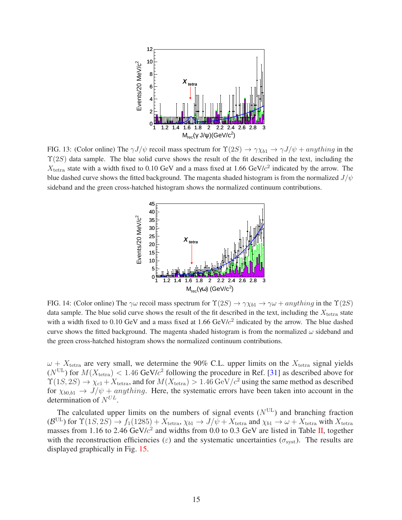

<span id="page-15-0"></span>FIG. 13: (Color online) The  $\gamma J/\psi$  recoil mass spectrum for  $\Upsilon(2S) \to \gamma \chi_{b1} \to \gamma J/\psi + anything$  in the  $\Upsilon(2S)$  data sample. The blue solid curve shows the result of the fit described in the text, including the  $X_{\text{tetra}}$  state with a width fixed to 0.10 GeV and a mass fixed at 1.66 GeV/ $c^2$  indicated by the arrow. The blue dashed curve shows the fitted background. The magenta shaded histogram is from the normalized  $J/\psi$ sideband and the green cross-hatched histogram shows the normalized continuum contributions.



<span id="page-15-1"></span>FIG. 14: (Color online) The  $\gamma\omega$  recoil mass spectrum for  $\Upsilon(2S) \to \gamma \chi_{b1} \to \gamma\omega + anything$  in the  $\Upsilon(2S)$ data sample. The blue solid curve shows the result of the fit described in the text, including the  $X_{\text{tetra}}$  state with a width fixed to 0.10 GeV and a mass fixed at 1.66 GeV/ $c^2$  indicated by the arrow. The blue dashed curve shows the fitted background. The magenta shaded histogram is from the normalized  $\omega$  sideband and the green cross-hatched histogram shows the normalized continuum contributions.

 $\omega + X_{\text{tetra}}$  are very small, we determine the 90% C.L. upper limits on the  $X_{\text{tetra}}$  signal yields  $(N^{UL})$  for  $M(X_{\text{tetra}}) < 1.46$  GeV/ $c^2$  following the procedure in Ref. [\[31](#page-19-30)] as described above for  $\Upsilon(1S, 2S) \to \chi_{c1} + X_{\text{tetra}}$ , and for  $M(X_{\text{tetra}}) > 1.46 \,\text{GeV}/c^2$  using the same method as described for  $\chi_{b0,b1} \to J/\psi + anything$ . Here, the systematic errors have been taken into account in the determination of  $N^{UL}$ .

The calculated upper limits on the numbers of signal events  $(N<sup>UL</sup>)$  and branching fraction  $(\mathcal{B}^{\mathrm{UL}})$  for  $\Upsilon(1S, 2S) \to f_1(1285) + X_{\mathrm{tetra}}, \chi_{b1} \to J/\psi + X_{\mathrm{tetra}}$  and  $\chi_{b1} \to \omega + X_{\mathrm{tetra}}$  with  $X_{\mathrm{tetra}}$ masses from 1.16 to 2.46  $GeV/c^2$  and widths from 0.0 to 0.3 GeV are listed in Table [II,](#page-18-0) together with the reconstruction efficiencies ( $\varepsilon$ ) and the systematic uncertainties ( $\sigma_{syst}$ ). The results are displayed graphically in Fig. [15.](#page-16-0)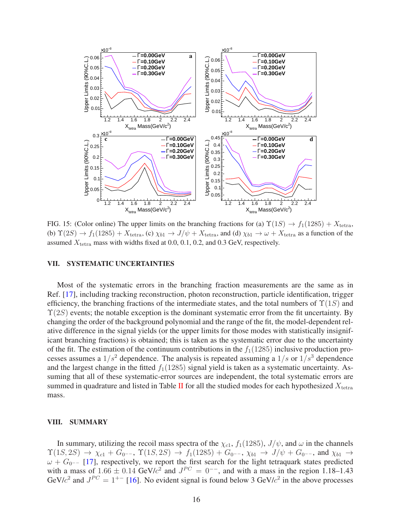

<span id="page-16-0"></span>FIG. 15: (Color online) The upper limits on the branching fractions for (a)  $\Upsilon(1S) \rightarrow f_1(1285) + X_{\text{tetra}}$ , (b)  $\Upsilon(2S) \rightarrow f_1(1285) + X_{\text{tetra}}$ , (c)  $\chi_{b1} \rightarrow J/\psi + X_{\text{tetra}}$ , and (d)  $\chi_{b1} \rightarrow \omega + X_{\text{tetra}}$  as a function of the assumed  $X_{\text{tetra}}$  mass with widths fixed at 0.0, 0.1, 0.2, and 0.3 GeV, respectively.

#### VII. SYSTEMATIC UNCERTAINTIES

Most of the systematic errors in the branching fraction measurements are the same as in Ref. [\[17](#page-19-16)], including tracking reconstruction, photon reconstruction, particle identification, trigger efficiency, the branching fractions of the intermediate states, and the total numbers of  $\Upsilon(1S)$  and  $\Upsilon(2S)$  events; the notable exception is the dominant systematic error from the fit uncertainty. By changing the order of the background polynomial and the range of the fit, the model-dependent relative difference in the signal yields (or the upper limits for those modes with statistically insignificant branching fractions) is obtained; this is taken as the systematic error due to the uncertainty of the fit. The estimation of the continuum contributions in the  $f_1(1285)$  inclusive production processes assumes a  $1/s^2$  dependence. The analysis is repeated assuming a  $1/s$  or  $1/s^3$  dependence and the largest change in the fitted  $f_1(1285)$  signal yield is taken as a systematic uncertainty. Assuming that all of these systematic-error sources are independent, the total systematic errors are summed in quadrature and listed in Table [II](#page-18-0) for all the studied modes for each hypothesized  $X_{\text{tetra}}$ mass.

#### VIII. SUMMARY

In summary, utilizing the recoil mass spectra of the  $\chi_{c1}$ ,  $f_1(1285)$ ,  $J/\psi$ , and  $\omega$  in the channels  $\Upsilon(1S, 2S) \to \chi_{c1} + G_{0}$ —,  $\Upsilon(1S, 2S) \to f_1(1285) + G_{0}$ —,  $\chi_{b1} \to J/\psi + G_{0}$ —, and  $\chi_{b1} \to$  $\omega + G_{0}$ -- [\[17](#page-19-16)], respectively, we report the first search for the light tetraquark states predicted with a mass of  $1.66 \pm 0.14$  GeV/ $c^2$  and  $J^{PC} = 0^{-2}$ , and with a mass in the region 1.18–1.43 GeV/ $c^2$  and  $J^{PC} = 1^{+-}$  [\[16](#page-19-15)]. No evident signal is found below 3 GeV/ $c^2$  in the above processes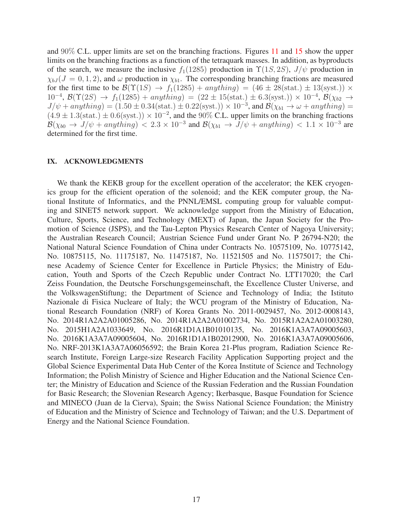and 90% C.L. upper limits are set on the branching fractions. Figures [11](#page-13-1) and [15](#page-16-0) show the upper limits on the branching fractions as a function of the tetraquark masses. In addition, as byproducts of the search, we measure the inclusive  $f_1(1285)$  production in  $\Upsilon(1S, 2S)$ ,  $J/\psi$  production in  $\chi_{bJ}$  ( $J = 0, 1, 2$ ), and  $\omega$  production in  $\chi_{b1}$ . The corresponding branching fractions are measured for the first time to be  $\mathcal{B}(\Upsilon(1S) \to f_1(1285) + anything) = (46 \pm 28(stat.) \pm 13(syst.)) \times$ 10<sup>-4</sup>,  $\mathcal{B}(\Upsilon(2S) \rightarrow f_1(1285) + anything) = (22 \pm 15(stat.) \pm 6.3(syst.)) \times 10^{-4}, \mathcal{B}(\chi_{b2} \rightarrow$  $J/\psi + any thing) = (1.50 \pm 0.34 \text{(stat.)} \pm 0.22 \text{(syst.)}) \times 10^{-3}$ , and  $\mathcal{B}(\chi_{b1} \to \omega + anything) =$  $(4.9 \pm 1.3(\text{stat.}) \pm 0.6(\text{syst.})) \times 10^{-2}$ , and the 90% C.L. upper limits on the branching fractions  $\mathcal{B}(\chi_{b0} \to J/\psi + anything)$  < 2.3 × 10<sup>-3</sup> and  $\mathcal{B}(\chi_{b1} \to J/\psi + anything)$  < 1.1 × 10<sup>-3</sup> are determined for the first time.

#### IX. ACKNOWLEDGMENTS

We thank the KEKB group for the excellent operation of the accelerator; the KEK cryogenics group for the efficient operation of the solenoid; and the KEK computer group, the National Institute of Informatics, and the PNNL/EMSL computing group for valuable computing and SINET5 network support. We acknowledge support from the Ministry of Education, Culture, Sports, Science, and Technology (MEXT) of Japan, the Japan Society for the Promotion of Science (JSPS), and the Tau-Lepton Physics Research Center of Nagoya University; the Australian Research Council; Austrian Science Fund under Grant No. P 26794-N20; the National Natural Science Foundation of China under Contracts No. 10575109, No. 10775142, No. 10875115, No. 11175187, No. 11475187, No. 11521505 and No. 11575017; the Chinese Academy of Science Center for Excellence in Particle Physics; the Ministry of Education, Youth and Sports of the Czech Republic under Contract No. LTT17020; the Carl Zeiss Foundation, the Deutsche Forschungsgemeinschaft, the Excellence Cluster Universe, and the VolkswagenStiftung; the Department of Science and Technology of India; the Istituto Nazionale di Fisica Nucleare of Italy; the WCU program of the Ministry of Education, National Research Foundation (NRF) of Korea Grants No. 2011-0029457, No. 2012-0008143, No. 2014R1A2A2A01005286, No. 2014R1A2A2A01002734, No. 2015R1A2A2A01003280, No. 2015H1A2A1033649, No. 2016R1D1A1B01010135, No. 2016K1A3A7A09005603, No. 2016K1A3A7A09005604, No. 2016R1D1A1B02012900, No. 2016K1A3A7A09005606, No. NRF-2013K1A3A7A06056592; the Brain Korea 21-Plus program, Radiation Science Research Institute, Foreign Large-size Research Facility Application Supporting project and the Global Science Experimental Data Hub Center of the Korea Institute of Science and Technology Information; the Polish Ministry of Science and Higher Education and the National Science Center; the Ministry of Education and Science of the Russian Federation and the Russian Foundation for Basic Research; the Slovenian Research Agency; Ikerbasque, Basque Foundation for Science and MINECO (Juan de la Cierva), Spain; the Swiss National Science Foundation; the Ministry of Education and the Ministry of Science and Technology of Taiwan; and the U.S. Department of Energy and the National Science Foundation.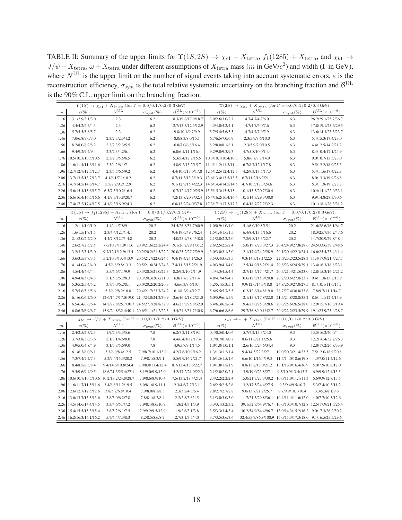<span id="page-18-0"></span>TABLE II: Summary of the upper limits for  $\Upsilon(1S, 2S) \rightarrow \chi_{c1} + X_{\text{tetra}}$ ,  $f_1(1285) + X_{\text{tetra}}$ , and  $\chi_{b1} \rightarrow$  $J/\psi + X_{\text{tetra}}$ ,  $\omega + X_{\text{tetra}}$  under different assumptions of  $X_{\text{tetra}}$  mass (m in GeV/ $c^2$ ) and width (Γ in GeV), where  $N^{\text{UL}}$  is the upper limit on the number of signal events taking into account systematic errors,  $\varepsilon$  is the reconstruction efficiency,  $\sigma_{\rm syst}$  is the total relative systematic uncertainty on the branching fraction and  $B^{\rm UL}$ is the 90% C.L. upper limit on the branching fraction.

|                                                                                                                                                                                            |                                         |                     | $\Upsilon(1S) \rightarrow \chi_{c1} + X_{\mathrm{tetra}}$ (for $\Gamma = 0.0/0.1/0.2/0.3$ GeV)        |                                             | $\Upsilon(2S) \rightarrow \chi_{c1} + X_{\text{tetra}}$ (for $\Gamma = 0.0/0.1/0.2/0.3$ GeV) |                                                                                              |                                                             |                                             |  |  |
|--------------------------------------------------------------------------------------------------------------------------------------------------------------------------------------------|-----------------------------------------|---------------------|-------------------------------------------------------------------------------------------------------|---------------------------------------------|----------------------------------------------------------------------------------------------|----------------------------------------------------------------------------------------------|-------------------------------------------------------------|---------------------------------------------|--|--|
| $\,m$                                                                                                                                                                                      | $\varepsilon(\%)$                       | $N^{\mathrm{UL}}$   | $\sigma_{\rm syst}(\%)$                                                                               | $\mathcal{B}^{\mathrm{UL}}(\times 10^{-6})$ | $\varepsilon(\%)$                                                                            | $N^{\mathrm{UL}}$                                                                            | $\sigma_{\rm syst}(\%)$                                     | $\mathcal{B}^{\text{UL}}(\times 10^{-6})$   |  |  |
| 1.16                                                                                                                                                                                       | 3.1/2.9/3.1/3.0                         | 2.3                 | 6.2                                                                                                   | 18.3/19.6/17.9/18.7                         | 3.0/2.6/3.0/2.7                                                                              | 4.7/4.7/4.7/6.0                                                                              | 6.3                                                         | 26.2/29.1/25.7/36.7                         |  |  |
| 1.26                                                                                                                                                                                       | 4.4/4.2/4.5/4.3                         | 2.3                 | 6.2                                                                                                   | 12.7/13.3/12.5/12.9                         | 4.3/4.0/4.2/4.1                                                                              | 4.7/4.7/6.0/7.6                                                                              | 6.3                                                         | 17.8/19.1/23.6/29.5                         |  |  |
| 1.36                                                                                                                                                                                       | 5.7/5.5/5.8/5.7                         | 2.3                 | 6.2                                                                                                   | 9.8/10.1/9.7/9.9                            | 5.7/5.4/5.6/5.5                                                                              | 4.7/4.7/7.9/7.9                                                                              | 6.3                                                         | 13.6/14.3/23.3/23.7                         |  |  |
| 1.46                                                                                                                                                                                       | 7.0/6.8/7.0/7.0                         | 2.3/2.3/2.3/4.2     | 6.2                                                                                                   | 8.0/8.3/8.0/15.1                            | 6.7/6.5/7.0/6.9                                                                              | 2.3/5.9/7.6/10.0                                                                             | 6.3                                                         | 5.4/15.3/17.4/23.0                          |  |  |
| 1.56                                                                                                                                                                                       | 8.2/8.0/8.2/8.2                         | 2.3/2.3/2.3/5.5     | 6.2                                                                                                   | 6.8/7.0/6.8/16.4                            | 8.2/8.0/8.1/8.1                                                                              | 2.3/5.9/7.0/10.5                                                                             | 6.3                                                         | 4.4/12.5/14.2/21.2                          |  |  |
| 1.66                                                                                                                                                                                       | 9.4/9.2/9.4/9.4                         | 2.3/2.3/4.2/6.1     | 6.2                                                                                                   | 6.0/6.1/11.1/16.4                           | 9.2/9.0/9.3/9.3                                                                              | 4.7/5.8/10.0/14.4                                                                            | 6.3                                                         | 8.4/10.4/17.1/24.9                          |  |  |
| 1.76                                                                                                                                                                                       | 10.5/10.3/10.5/10.5                     | 2.3/2.3/5.5/6.5     | 6.2                                                                                                   | 5.3/5.4/12.7/15.5                           | 10.3/10.1/10.4/10.3                                                                          | 5.8/6.7/8.8/14.9                                                                             | 6.3                                                         | 9.0/10.7/13.5/23.0                          |  |  |
| 1.86                                                                                                                                                                                       | 11.6/11.4/11.6/11.6                     | 2.3/4.2/6.1/7.1     | 6.2                                                                                                   | 4.8/9.2/13.2/15.7                           | 11.4/11.2/11.3/11.4                                                                          | 6.7/8.7/12.1/17.8                                                                            | 6.3                                                         | 9.5/12.2/18.0/25.3                          |  |  |
| 1.96                                                                                                                                                                                       | 12.7/12.7/12.5/12.7                     | 2.3/5.5/6.5/9.2     | 6.2                                                                                                   | 4.4/10.6/13.0/17.8                          | 12.5/12.5/12.4/12.5                                                                          | 4.2/9.3/13.5/17.3                                                                            | 6.3                                                         | 5.4/11.6/17.4/22.8                          |  |  |
| 2.06                                                                                                                                                                                       | 13.7/13.5/13.7/13.7                     | 4.1/6.1/7.1/10.2    | 6.2                                                                                                   | 8.7/11.3/13.3/19.3                          | 13.6/13.4/13.5/13.5                                                                          | 6.7/11.2/16.7/21.1                                                                           | 6.3                                                         | 8.0/13.3/19.9/26.8                          |  |  |
| 2.16                                                                                                                                                                                       | 14.7/14.5/14.6/14.7                     | 5.5/7.2/9.2/12.9    | 6.2                                                                                                   | 9.1/12.9/15.4/22.3                          | 14.6/14.4/14.5/14.5                                                                          | 4.7/10.5/17.3/24.6                                                                           | 6.3                                                         | 5.3/11.9/19.8/28.8                          |  |  |
| 2.26                                                                                                                                                                                       | 15.6/15.4/15.6/15.7                     | 6.5/7.3/10.2/16.4   | 6.2                                                                                                   | 10.7/12.4/17.0/25.9                         | 15.5/15.3/15.5/15.4                                                                          | 10.1/13.5/20.7/30.4                                                                          | 6.3                                                         | 10.4/14.1/22.0/33.1                         |  |  |
| 2.36                                                                                                                                                                                       | 16.6/16.4/16.5/16.6                     | 4.1/9.3/13.8/20.7   | 6.2                                                                                                   | 7.2/13.8/20.8/32.4                          | 16.4/16.2/16.4/16.4                                                                          | 10.1/14.3/29.3/30.0                                                                          | 6.3                                                         | 9.9/14.8/28.3/30.6                          |  |  |
| 2.46                                                                                                                                                                                       | 17.4/17.2/17.4/17.5                     | 4.1/9.3/16.9/24.3   | 6.2                                                                                                   | 6.8/13.2/24.0/37.8                          | 17.3/17.1/17.3/17.3  10.4/18.7/27.7/32.3                                                     |                                                                                              | 6.3                                                         | 10.1/18.1/26.3/31.2                         |  |  |
|                                                                                                                                                                                            |                                         |                     | $\Upsilon(1S)$ $\rightarrow$ $f_1(1285)$ $+$ $X_{\rm tetra}$ (for $\Gamma$ $=$ $0.0/0.1/0.2/0.3$ GeV) |                                             |                                                                                              | $\Upsilon(2S) \rightarrow f_1(1285) + X_{\text{tetra}}$ (for $\Gamma = 0.0/0.1/0.2/0.3$ GeV) |                                                             |                                             |  |  |
| $\,m$                                                                                                                                                                                      | $\varepsilon(\%)$                       | $N^{\mathrm{UL}}$   | $\sigma_{\rm syst}(\%)$                                                                               | $\mathcal{B}^{\mathrm{UL}}(\times10^{-6})$  | $\varepsilon(\%)$                                                                            | $N^{\mathrm{UL}}$                                                                            | $\sigma_{\text{syst}}(\%)$                                  | $\mathcal{B}^{\text{UL}}(\times 10^{-6})$   |  |  |
| 1.16                                                                                                                                                                                       | 1.2/1.1/1.0/1.0                         | 4.4/4.4/7.8/9.1     | 20.2                                                                                                  | 24.5/26.8/51.7/60.9                         | 1.0/0.9/1.0/1.0                                                                              | 5.1/6.0/10.8/15.1                                                                            | 20.2                                                        | 21.6/28.6/46.1/64.7                         |  |  |
| 1.26                                                                                                                                                                                       | 1.6/1.5/1.7/1.5                         | 2.3/4.4/12.7/14.1   | 20.2                                                                                                  | 9.4/19.6/49.7/62.4                          | 1.5/1.4/1.6/1.5                                                                              | 6.4/8.4/13.5/16.6                                                                            | 20.2                                                        | 18.3/25.7/36.2/47.6                         |  |  |
| 1.36                                                                                                                                                                                       | 2.1/2.0/2.2/2.0                         | 4.4/7.8/12.7/14.8   | 20.2                                                                                                  | 14.0/25.9/38.4/48.8                         | 2.1/2.0/2.2/2.0                                                                              | 7.2/9.8/15.3/22.7                                                                            | 20.2                                                        | 14.7/20.9/29.8/48.4                         |  |  |
| 1.46                                                                                                                                                                                       | 2.6/2.7/2.5/2.5                         |                     | 7.6/10.7/11.0/11.6 20.9/21.6/22.2/24.4 19.1/26.2/29.1/31.2                                            |                                             | 2.6/2.5/2.5/2.4                                                                              |                                                                                              | 15.0/19.7/23.3/27.3 20.4/24.9/27.8/28.6 24.5/33.6/39.9/48.6 |                                             |  |  |
| 1.56                                                                                                                                                                                       | 3.2/3.2/3.1/3.0                         | 9.7/12.1/12.9/13.4  | 20.2/20.2/21.5/22.2 20.0/25.2/27.7/29.9                                                               |                                             | 3.0/3.0/3.1/3.0                                                                              |                                                                                              | 12.1/17.9/24.2/28.9 20.1/20.4/22.3/24.4 16.6/25.4/33.4/41.4 |                                             |  |  |
| 1.66                                                                                                                                                                                       | 3.6/3.5/3.7/3.5                         |                     | 5.2/10.3/13.4/13.9 20.5/21.7/22.0/24.5 9.4/19.4/24.1/26.3                                             |                                             | 3.5/3.4/3.6/3.5                                                                              | 9.3/14.3/18.1/22.5                                                                           | 22.0/23.2/23.5/28.3 11.4/17.9/21.4/27.7                     |                                             |  |  |
| 1.76                                                                                                                                                                                       | 4.1/4.0/4.2/4.0                         | 4.5/6.8/9.8/13.3    | 20.5/21.6/24.2/24.3 7.4/11.3/15.2/21.9                                                                |                                             | 4.0/3.9/4.1/4.0                                                                              | 12.5/14.9/18.2/21.4 20.8/23.6/24.5/29.1 13.4/16.3/18.8/23.1                                  |                                                             |                                             |  |  |
| 1.86                                                                                                                                                                                       | 4.5/4.4/4.6/4.4                         | 5.5/6.6/7.1/9.9     | 20.3/20.5/21.0/22.3                                                                                   | 8.2/9.2/10.2/14.9                           | 4.4/4.3/4.5/4.4                                                                              | 12.7/15.4/17.4/21.7 20.5/21.4/21.5/23.0 12.8/15.3/16.7/21.2                                  |                                                             |                                             |  |  |
| 1.96                                                                                                                                                                                       | 4.9/4.8/5.0/4.8                         | 5.1/5.8/6.2/8.3     | 20.3/20.3/20.6/21.0                                                                                   | 6.8/7.7/8.2/11.4                            | 4.8/4.7/4.9/4.7                                                                              |                                                                                              | 10.6/12.9/15.9/20.8 20.2/20.6/27.0/23.7 9.4/11.8/13.8/18.9  |                                             |  |  |
| 2.06                                                                                                                                                                                       | 5.3/5.2/5.4/5.2                         | 3.7/5.0/6.2/8.1     | 20.0/20.2/20.2/20.3                                                                                   | 4.6/6.3/7.6/10.4                            | 5.2/5.1/5.3/5.1                                                                              | 9.9/12.0/14.3/18.8                                                                           | 24.8/26.0/27.0/27.5 8.1/10.1/11.6/15.7                      |                                             |  |  |
| 2.16                                                                                                                                                                                       | 5.7/5.6/5.8/5.6                         | 5.3/6.9/8.2/10.8    | 20.4/21.7/23.7/24.2                                                                                   | 6.1/8.2/9.4/12.7                            | 5.6/5.5/5.7/5.5                                                                              | 10.2/12.6/14.8/19.0 26.7/27.4/30.8/33.6                                                      |                                                             | 7.8/9.7/11.1/14.7                           |  |  |
| 2.26                                                                                                                                                                                       | 6.1/6.0/6.2/6.0                         |                     | 12.6/14.7/17.0/19.0 21.4/24.0/24.2/30.9 13.6/16.2/18.2/21.0                                           |                                             | 6.0/5.9/6.1/5.9                                                                              |                                                                                              | 12.1/15.3/17.8/22.0 21.5/24.8/28.8/35.2 8.6/11.1/12.4/15.9  |                                             |  |  |
| 2.36                                                                                                                                                                                       | 6.5/6.4/6.6/6.4                         |                     | 14.2/22.8/25.7/30.7 24.5/27.7/28.8/32.9 14.6/23.9/25.8/32.0                                           |                                             | 6.4/6.3/6.5/6.4                                                                              |                                                                                              | 19.4/23.0/25.3/28.6 20.6/25.6/26.5/28.0 12.9/15.7/16.6/19.4 |                                             |  |  |
| 2.46                                                                                                                                                                                       | 6.8/6.7/6.9/6.7                         |                     | 15.9/24.8/32.4/40.1 20.6/21.1/21.2/22.3 15.4/24.6/31.7/40.8                                           |                                             | 6.7/6.6/6.8/6.6                                                                              |                                                                                              | 29.7/36.8/40.1/42.7 20.9/22.2/23.5/29.9 19.1/23.9/25.4/28.7 |                                             |  |  |
| $\chi_{b1} \, \rightarrow \, J/\psi + X_{\mathrm{tetra}}$ (for $\Gamma = 0.0/0.1/0.2/0.3$ GeV)<br>$\chi_{b1} \rightarrow \omega + X_{\mathrm{tetra}}$ (for $\Gamma = 0.0/0.1/0.2/0.3$ GeV) |                                         |                     |                                                                                                       |                                             |                                                                                              |                                                                                              |                                                             |                                             |  |  |
| $\,m$                                                                                                                                                                                      | $\varepsilon(\%)$                       | $N^{\mathrm{UL}}$   | $\sigma_{\rm syst}(\%)$                                                                               | $B^{UL}(\times 10^{-5})$                    | $\varepsilon(\%)$                                                                            | $N^{\mathrm{UL}}$                                                                            | $\sigma_{\rm syst}(\%)$                                     | $\mathcal{B}^{\mathrm{UL}}(\times 10^{-5})$ |  |  |
| 1.16                                                                                                                                                                                       | 2.4/2.5/2.3/2.3                         | 1.9/2.3/3.3/5.6     | 7.8                                                                                                   | 6.2/7.2/11.8/19.1                           | 0.4/0.5/0.4/0.6                                                                              | 5.7/7.2/15.3/24.0                                                                            | 9.3                                                         | 13.5/16.2/40.0/44.4                         |  |  |
| 1.26                                                                                                                                                                                       | 3.7/3.8/3.6/3.6                         | 2.1/3.1/4.6/8.0     | 7.8                                                                                                   | 4.4/6.4/10.2/17.4                           | 0.7/0.7/0.7/0.7                                                                              | 8.6/11.6/21.1/25.6                                                                           | 9.3                                                         | 12.2/16.4/32.2/26.3                         |  |  |
| 1.36                                                                                                                                                                                       | 4.9/5.0/4.8/4.9                         | 3.1/3.7/5.6/9.0     | 7.8                                                                                                   | 4.9/5.7/9.1/14.5                            | 1.0/1.0/1.0/1.1                                                                              | 12.6/16.5/24.6/34.4                                                                          | 9.3                                                         | 12.8/17.2/26.8/33.9                         |  |  |
| 1.46                                                                                                                                                                                       | 6.1/6.2/6.0/6.1                         | 3.3/6.0/8.4/12.5    | 7.9/8.7/10.1/13.9                                                                                     | 4.2/7.6/10.9/16.2                           | 1.3/1.3/1.2/1.4                                                                              | 9.4/14.5/22.3/27.1                                                                           | 19.0/20.3/21.4/23.5                                         | 7.5/12.0/18.9/20.8                          |  |  |
| 1.56                                                                                                                                                                                       | 7.3/7.4/7.2/7.3                         | 5.2/9.4/15.3/20.2   | 7.9/8.1/8.3/9.1                                                                                       | 5.5/9.9/16.7/21.7                           | 1.6/1.5/1.5/1.6                                                                              | 6.6/10.1/16.4/19.3                                                                           | 11.4/14.0/18.6/19.8                                         | 4.3/7.0/11.4/12.6                           |  |  |
| 1.66                                                                                                                                                                                       | 8.4/8.5/8.3/8.4                         | 9.4/14.6/19.8/24.4  | 7.9/8.0/11.4/12.4                                                                                     | 8.7/13.4/18.6/22.7                          | 1.9/1.8/1.8/1.9                                                                              | 8.8/13.2/18.0/21.2                                                                           | 13.1/13.9/16.4/16.9                                         | 5.0/7.9/10.8/12.0                           |  |  |
| 1.76                                                                                                                                                                                       | 9.5/9.6/9.4/9.5                         | 18.6/21.3/25.4/27.1 | 8.1/9.0/9.9/12.0                                                                                      | 15.2/17.2/21.0/22.3                         | 2.1/2.0/2.0/2.1                                                                              | 13.9/19.0/23.8/27.1                                                                          | 9.5/10.9/13.4/13.7                                          | 6.9/9.9/12.4/13.5                           |  |  |
| 1.86                                                                                                                                                                                       | 10.6/10.7/10.5/10.6 10.2/18.2/24.8/28.7 |                     | 7.9/8.6/8.9/10.4                                                                                      | 7.5/13.2/18.4/21.4                          | 2.4/2.2/2.2/2.4                                                                              | 15.0/21.3/27.3/30.2 10.0/11.0/11.1/11.3                                                      |                                                             | 6.6/9.9/12.7/13.5                           |  |  |
| 1.96                                                                                                                                                                                       | 11.6/11.7/11.5/11.6                     | 3.4/6.8/11.2/19.5   | 8.0/8.1/8.9/11.1                                                                                      | 2.3/4.6/7.7/13.1                            | 2.6/2.5/2.5/2.6                                                                              | 13.2/17.5/24.4/27.5                                                                          | 9.3/9.4/9.5/10.7                                            | 5.3/7.4/10.3/11.2                           |  |  |
| 2.06                                                                                                                                                                                       | 12.6/12.7/12.5/12.6                     | 3.8/5.2/6.8/10.4    | 7.9/8.0/8.1/8.3                                                                                       | 2.3/3.2/4.3/6.4                             | 2.8/2.7/2.7/2.8                                                                              | 9.0/13.7/21.2/25.7                                                                           | 9.7/9.9/10.1/10.4                                           | 3.3/5.3/8.1/9.6                             |  |  |
| 2.16                                                                                                                                                                                       | 13.6/13.7/13.5/13.6                     | 3.8/5.0/6.2/7.8     | 7.8/8.1/8.2/8.4                                                                                       | 2.2/2.8/3.6/4.5                             | 3.1/3.0/3.0/3.0                                                                              | 11.7/21.3/29.8/36.1  10.4/11.4/11.6/12.0                                                     |                                                             | 4.0/7.7/10.5/12.6                           |  |  |
| 2.26                                                                                                                                                                                       | 14.5/14.6/14.4/14.5                     | 3.3/4.6/5.7/7.2     | 7.9/8.1/8.6/10.8                                                                                      | 1.8/2.4/3.1/3.9                             | 3.3/3.1/3.2/3.2                                                                              | 39.1/52.9/64.9/76.7                                                                          | 10.0/10.3/10.7/12.8 12.5/17.9/21.6/25.4                     |                                             |  |  |
| 2.36                                                                                                                                                                                       | 15.4/15.5/15.3/15.4                     | 3.8/5.2/6.1/7.5     | 7.9/9.2/9.5/12.9                                                                                      | 1.9/2.6/3.1/3.8                             | 3.5/3.3/3.4/3.4                                                                              | 30.2/54.9/84.4/96.7 13.0/14.3/15.2/16.2 9.0/17.3/26.2/30.2                                   |                                                             |                                             |  |  |
| 2.46                                                                                                                                                                                       | 16.2/16.3/16.1/16.2                     | 5.7/6.4/7.3/8.3     | 8.2/8.5/8.6/8.7                                                                                       | 2.7/3.1/3.5/4.0                             | 3.7/3.5/3.6/3.6                                                                              | 32.4/55.7/86.8/100.9 15.0/15.3/17.3/18.0 9.1/16.5/25.5/29.6                                  |                                                             |                                             |  |  |